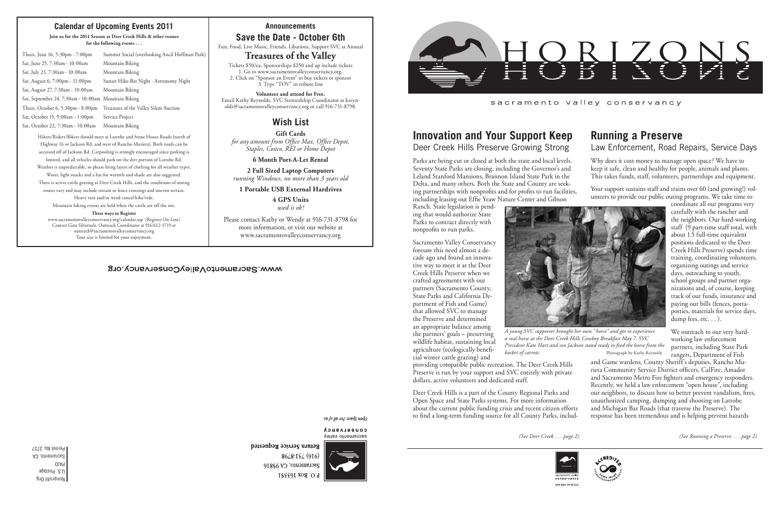Nonprofit Org. U.S. Postage PAID Sacramento, CA Permit No. 2727 *(See Deer Creek . . . page 2) (See Running a Preserve . . . page 2)*

# **Running a Preserve** Law Enforcement, Road Repairs, Service Days

coordinate all our programs very carefully with the rancher and the neighbors. Our hard-working staff (9 part-time staff total, with about 1.5 full-time equivalent positions dedicated to the Deer Creek Hills Preserve) spends time training, coordinating volunteers, organizing outings and service days, outreaching to youth, school groups and partner organizations and, of course, keeping track of our funds, insurance and paying our bills (fences, portapotties, materials for service days, dump fees, etc. . . ).

We outreach to our very hardworking law enforcement partners, including State Park rangers, Department of Fish

Why does it cost money to manage open space? We have to keep it safe, clean and healthy for people, animals and plants. This takes funds, staff, volunteers, partnerships and equipment. Your support sustains staff and trains over 60 (and growing!) volunteers to provide our public outing programs. We take time to Parks are being cut or closed at both the state and local levels. Seventy State Parks are closing, including the Governor's and Leland Stanford Mansions, Brannon Island State Park in the Delta, and many others. Both the State and County are seeking partnerships with nonprofits and for profits to run facilities, including leasing out Effie Yeaw Nature Center and Gibson

> and Game wardens, County Sheriff's deputies, Rancho Murieta Community Service District officers, CalFire, Amador and Sacramento Metro Fire fighters and emergency responders. Recently, we held a law enforcement "open house", including our neighbors, to discuss how to better prevent vandalism, fires, unauthorized camping, dumping and shooting on Latrobe and Michigan Bar Roads (that traverse the Preserve). The response has been tremendous and is helping prevent hazards



*A young SVC supporter brought her own "horse" and got to experience a real horse at the Deer Creek Hills Cowboy Breakfast May 7. SVC President Kate Hart and son Jackson stand ready to feed the horse from the basket of carrots.* Photograph by Kathy Reynolds

# **Innovation and Your Support Keep**

Deer Creek Hills Preserve Growing Strong

Ranch. State legislation is pending that would authorize State Parks to contract directly with nonprofits to run parks.

Sacramento Valley Conservancy foresaw this need almost a decade ago and found an innovative way to meet it at the Deer Creek Hills Preserve when we crafted agreements with our partners (Sacramento County, State Parks and California Department of Fish and Game) that allowed SVC to manage the Preserve and determined an appropriate balance among the partners' goals – preserving wildlife habitat, sustaining local agriculture (ecologically beneficial winter cattle grazing) and



providing compatible public recreation. The Deer Creek Hills Preserve is run by your support and SVC entirely with private dollars, active volunteers and dedicated staff.

Deer Creek Hills is a part of the County Regional Parks and Open Space and State Parks systems. For more information about the current public funding crisis and recent citizen efforts to find a long-term funding source for all County Parks, includ-



Open Space. For all of u.

Return Service Requested

# **Calendar of Upcoming Events 2011**

**Join us for the 2011 Season at Deer Creek Hills & other venues for the following events . . .**

| Thurs, June 16, 5:30pm - 7:00pm                     | Summer Social (overlooking Ancil Hoffman Park)                              |
|-----------------------------------------------------|-----------------------------------------------------------------------------|
| Sat, June 25, 7:30am - 10:00am                      | Mountain Biking                                                             |
| Sat, July 23, 7:30am - 10:00am                      | Mountain Biking                                                             |
| Sat, August 6, 7:00pm - 11:00pm                     | Sunset Hike-Bat Night - Astronomy Night                                     |
| Sat, August 27, 7:30am - 10:00am                    | Mountain Biking                                                             |
| Sat, September 24, 7:30am - 10:00am Mountain Biking |                                                                             |
| Thurs, October 6, 5:30pm - 8:00pm                   | Treasures of the Valley Silent Auction                                      |
| Sat, October 15, 9:00am - 1:00pm                    | Service Project                                                             |
| Sat, October 22, 7:30am - 10:00am                   | Mountain Biking                                                             |
|                                                     | Hikers/Riders/Bikers should meet at Latrobe and Stone House Roads (north of |

Highway 16 or Jackson Rd. and west of Rancho Murieta). Both roads can be accessed off of Jackson Rd. Carpooling is strongly encouraged since parking is limited, and all vehicles should park on the dirt portion of Latrobe Rd. Weather is unpredictable, so please bring layers of clothing for all weather types. Water, light snacks and a hat for warmth and shade are also suggested. There is active cattle grazing at Deer Creek Hills, and the conditions of outing routes vary and may include stream or fence crossings and uneven terrain. Heavy rain and/or wind cancel hike/ride. Mountain biking events are held when the cattle are off the site.

### **Three ways to Register**

www.sacramentovalleyconservancy.org/calendar.asp (Register On-Line) Contact Gina Silvernale, Outreach Coordinator at 916/612-3719 or outreach@sacramentovalleyconservancy.org Tour size is limited for your enjoyment.

### **Announcements**

# **Save the Date - October 6th**

Fun, Food, Live Music, Friends, Libations, Support SVC at Annual

# **Treasures of the Valley**

Tickets \$50/ea, Sponsorships \$250 and up include tickets 1. Go to www.sacramentovalleyconservancy.org, 2. Click on "Sponsor an Event" to buy tickets or sponsor 3. Type "TOV" in tribute line

**Volunteer and attend for Free.** Email Kathy Reynolds, SVC Stewardship Coordinator at kreynolds@sacramentovalleyconservancy.org or call 916-731-8798.

# **Wish List**

**Gift Cards** *for any amount from Office Max, Office Depot, Staples, Costco, REI or Home Depot*

**6 Month Port-A-Let Rental**

**2 Full Sized Laptop Computers** *running Windows, no more than 3 years old*

**1 Portable USB External Hardrives**

**4 GPS Units** *used is ok!*

Please contact Kathy or Wendy at 916-731-8798 for more information, or visit our website at www.sacramentovalleyconservancy.org

### WWW.SacramentoValleyConservancy.org

sn fo yp 104 sopds uado

CONSELASUCA sacramento valley



8648-184 (916) Sacramento, CA 95816 P.O. Box 163551



sacramento valley conservancy